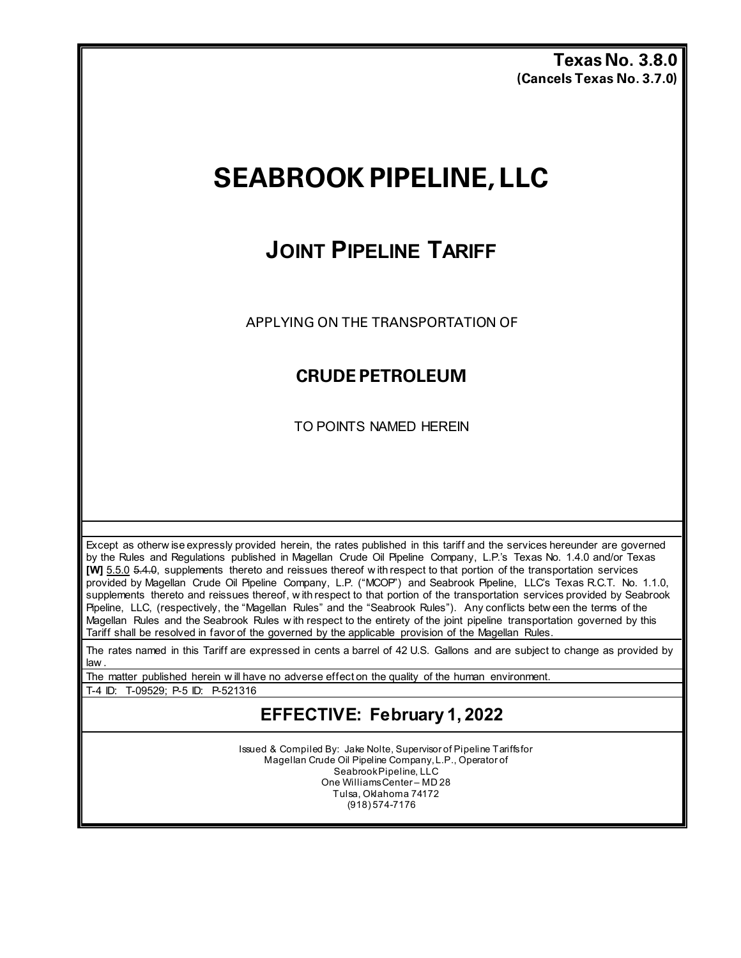**Texas No. 3.8.0 (Cancels Texas No. 3.7.0)**

# **SEABROOK PIPELINE, LLC**

## **JOINT PIPELINE TARIFF**

APPLYING ON THE TRANSPORTATION OF

#### **CRUDE PETROLEUM**

TO POINTS NAMED HEREIN

Except as otherw ise expressly provided herein, the rates published in this tariff and the services hereunder are governed by the Rules and Regulations published in Magellan Crude Oil Pipeline Company, L.P.'s Texas No. 1.4.0 and/or Texas **[W]** 5.5.0 5.4.0, supplements thereto and reissues thereof w ith respect to that portion of the transportation services provided by Magellan Crude Oil Pipeline Company, L.P. ("MCOP") and Seabrook Pipeline, LLC's Texas R.C.T. No. 1.1.0, supplements thereto and reissues thereof, w ith respect to that portion of the transportation services provided by Seabrook Pipeline, LLC, (respectively, the "Magellan Rules" and the "Seabrook Rules"). Any conflicts betw een the terms of the Magellan Rules and the Seabrook Rules w ith respect to the entirety of the joint pipeline transportation governed by this Tariff shall be resolved in favor of the governed by the applicable provision of the Magellan Rules.

The rates named in this Tariff are expressed in cents a barrel of 42 U.S. Gallons and are subject to change as provided by law .

The matter published herein w ill have no adverse effect on the quality of the human environment.

T-4 ID: T-09529; P-5 ID: P-521316

### **EFFECTIVE: February 1, 2022**

Issued & Compiled By: Jake Nolte, Supervisor of Pipeline Tariffs for Magellan Crude Oil Pipeline Company, L.P., Operator of Seabrook Pipeline, LLC One Williams Center – MD 28 Tulsa, Oklahoma 74172 (918) 574-7176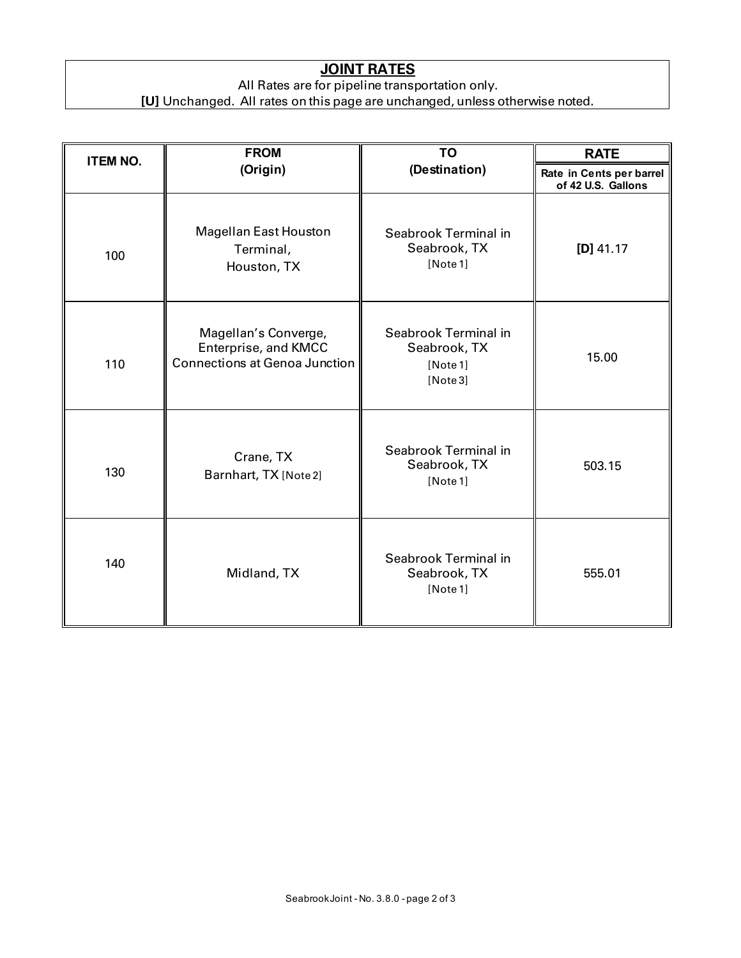#### **JOINT RATES**

All Rates are for pipeline transportation only.

**[U]** Unchanged. All rates on this page are unchanged, unless otherwise noted.

| <b>ITEM NO.</b> | <b>FROM</b>                                                                          | <b>TO</b>                                                    | <b>RATE</b>                                    |
|-----------------|--------------------------------------------------------------------------------------|--------------------------------------------------------------|------------------------------------------------|
|                 | (Origin)                                                                             | (Destination)                                                | Rate in Cents per barrel<br>of 42 U.S. Gallons |
| 100             | <b>Magellan East Houston</b><br>Terminal,<br>Houston, TX                             | Seabrook Terminal in<br>Seabrook, TX<br>[Note 1]             | $[D]$ 41.17                                    |
| 110             | Magellan's Converge,<br>Enterprise, and KMCC<br><b>Connections at Genoa Junction</b> | Seabrook Terminal in<br>Seabrook, TX<br>[Note 1]<br>[Note 3] | 15.00                                          |
| 130             | Crane, TX<br>Barnhart, TX [Note 2]                                                   | Seabrook Terminal in<br>Seabrook, TX<br>[Note 1]             | 503.15                                         |
| 140             | Midland, TX                                                                          | Seabrook Terminal in<br>Seabrook, TX<br>[Note 1]             | 555.01                                         |